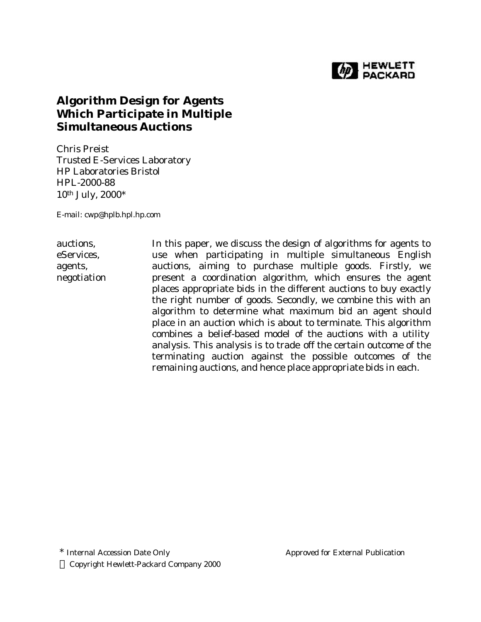

# **Algorithm Design for Agents Which Participate in Multiple Simultaneous Auctions**

Chris Preist Trusted E-Services Laboratory HP Laboratories Bristol HPL-2000-88 10th July, 2000\*

E-mail: cwp@hplb.hpl.hp.com

auctions, eServices, agents, negotiation

In this paper, we discuss the design of algorithms for agents to use when participating in multiple simultaneous English auctions, aiming to purchase multiple goods. Firstly, we present a coordination algorithm, which ensures the agent places appropriate bids in the different auctions to buy exactly the right number of goods. Secondly, we combine this with an algorithm to determine what maximum bid an agent should place in an auction which is about to terminate. This algorithm combines a belief-based model of the auctions with a utility analysis. This analysis is to trade off the certain outcome of the terminating auction against the possible outcomes of the remaining auctions, and hence place appropriate bids in each.

\* Internal Accession Date Only **Approved for External Publication**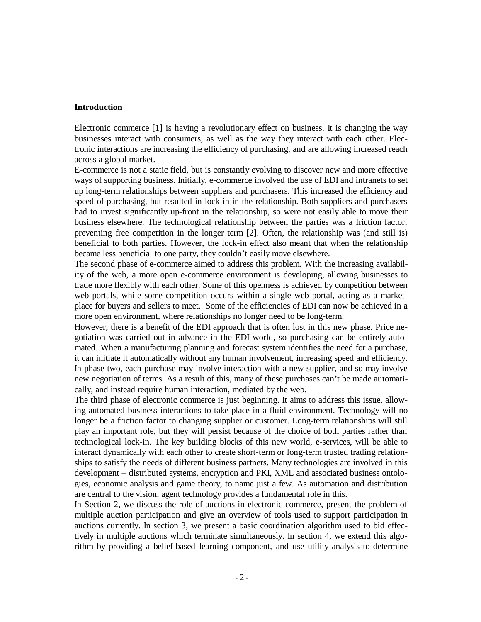#### **Introduction**

Electronic commerce [1] is having a revolutionary effect on business. It is changing the way businesses interact with consumers, as well as the way they interact with each other. Electronic interactions are increasing the efficiency of purchasing, and are allowing increased reach across a global market.

E-commerce is not a static field, but is constantly evolving to discover new and more effective ways of supporting business. Initially, e-commerce involved the use of EDI and intranets to set up long-term relationships between suppliers and purchasers. This increased the efficiency and speed of purchasing, but resulted in lock-in in the relationship. Both suppliers and purchasers had to invest significantly up-front in the relationship, so were not easily able to move their business elsewhere. The technological relationship between the parties was a friction factor, preventing free competition in the longer term [2]. Often, the relationship was (and still is) beneficial to both parties. However, the lock-in effect also meant that when the relationship became less beneficial to one party, they couldn't easily move elsewhere.

The second phase of e-commerce aimed to address this problem. With the increasing availability of the web, a more open e-commerce environment is developing, allowing businesses to trade more flexibly with each other. Some of this openness is achieved by competition between web portals, while some competition occurs within a single web portal, acting as a marketplace for buyers and sellers to meet. Some of the efficiencies of EDI can now be achieved in a more open environment, where relationships no longer need to be long-term.

However, there is a benefit of the EDI approach that is often lost in this new phase. Price negotiation was carried out in advance in the EDI world, so purchasing can be entirely automated. When a manufacturing planning and forecast system identifies the need for a purchase, it can initiate it automatically without any human involvement, increasing speed and efficiency. In phase two, each purchase may involve interaction with a new supplier, and so may involve new negotiation of terms. As a result of this, many of these purchases can't be made automatically, and instead require human interaction, mediated by the web.

The third phase of electronic commerce is just beginning. It aims to address this issue, allowing automated business interactions to take place in a fluid environment. Technology will no longer be a friction factor to changing supplier or customer. Long-term relationships will still play an important role, but they will persist because of the choice of both parties rather than technological lock-in. The key building blocks of this new world, e-services, will be able to interact dynamically with each other to create short-term or long-term trusted trading relationships to satisfy the needs of different business partners. Many technologies are involved in this development – distributed systems, encryption and PKI, XML and associated business ontologies, economic analysis and game theory, to name just a few. As automation and distribution are central to the vision, agent technology provides a fundamental role in this.

In Section 2, we discuss the role of auctions in electronic commerce, present the problem of multiple auction participation and give an overview of tools used to support participation in auctions currently. In section 3, we present a basic coordination algorithm used to bid effectively in multiple auctions which terminate simultaneously. In section 4, we extend this algorithm by providing a belief-based learning component, and use utility analysis to determine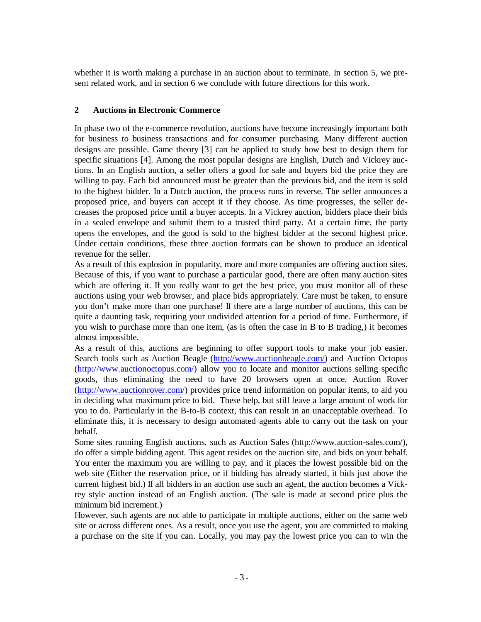whether it is worth making a purchase in an auction about to terminate. In section 5, we present related work, and in section 6 we conclude with future directions for this work.

# **2 Auctions in Electronic Commerce**

In phase two of the e-commerce revolution, auctions have become increasingly important both for business to business transactions and for consumer purchasing. Many different auction designs are possible. Game theory [3] can be applied to study how best to design them for specific situations [4]. Among the most popular designs are English, Dutch and Vickrey auctions. In an English auction, a seller offers a good for sale and buyers bid the price they are willing to pay. Each bid announced must be greater than the previous bid, and the item is sold to the highest bidder. In a Dutch auction, the process runs in reverse. The seller announces a proposed price, and buyers can accept it if they choose. As time progresses, the seller decreases the proposed price until a buyer accepts. In a Vickrey auction, bidders place their bids in a sealed envelope and submit them to a trusted third party. At a certain time, the party opens the envelopes, and the good is sold to the highest bidder at the second highest price. Under certain conditions, these three auction formats can be shown to produce an identical revenue for the seller.

As a result of this explosion in popularity, more and more companies are offering auction sites. Because of this, if you want to purchase a particular good, there are often many auction sites which are offering it. If you really want to get the best price, you must monitor all of these auctions using your web browser, and place bids appropriately. Care must be taken, to ensure you don't make more than one purchase! If there are a large number of auctions, this can be quite a daunting task, requiring your undivided attention for a period of time. Furthermore, if you wish to purchase more than one item, (as is often the case in B to B trading,) it becomes almost impossible.

As a result of this, auctions are beginning to offer support tools to make your job easier. Search tools such as Auction Beagle (http://www.auctionbeagle.com/) and Auction Octopus (http://www.auctionoctopus.com/) allow you to locate and monitor auctions selling specific goods, thus eliminating the need to have 20 browsers open at once. Auction Rover (http://www.auctionrover.com/) provides price trend information on popular items, to aid you in deciding what maximum price to bid. These help, but still leave a large amount of work for you to do. Particularly in the B-to-B context, this can result in an unacceptable overhead. To eliminate this, it is necessary to design automated agents able to carry out the task on your behalf.

Some sites running English auctions, such as Auction Sales (http://www.auction-sales.com/), do offer a simple bidding agent. This agent resides on the auction site, and bids on your behalf. You enter the maximum you are willing to pay, and it places the lowest possible bid on the web site (Either the reservation price, or if bidding has already started, it bids just above the current highest bid.) If all bidders in an auction use such an agent, the auction becomes a Vickrey style auction instead of an English auction. (The sale is made at second price plus the minimum bid increment.)

However, such agents are not able to participate in multiple auctions, either on the same web site or across different ones. As a result, once you use the agent, you are committed to making a purchase on the site if you can. Locally, you may pay the lowest price you can to win the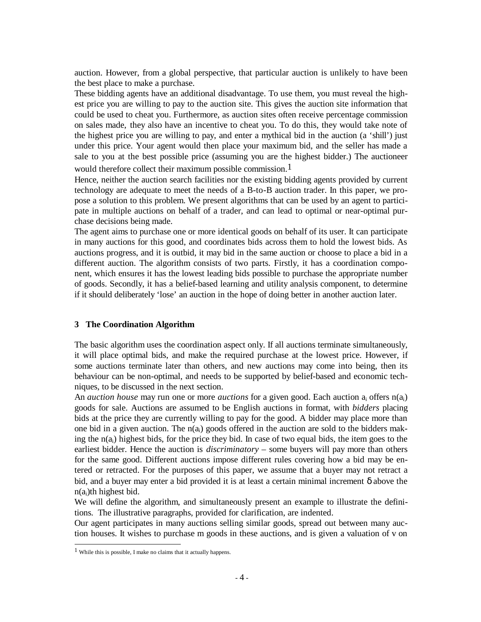auction. However, from a global perspective, that particular auction is unlikely to have been the best place to make a purchase.

These bidding agents have an additional disadvantage. To use them, you must reveal the highest price you are willing to pay to the auction site. This gives the auction site information that could be used to cheat you. Furthermore, as auction sites often receive percentage commission on sales made, they also have an incentive to cheat you. To do this, they would take note of the highest price you are willing to pay, and enter a mythical bid in the auction (a 'shill') just under this price. Your agent would then place your maximum bid, and the seller has made a sale to you at the best possible price (assuming you are the highest bidder.) The auctioneer would therefore collect their maximum possible commission.<sup>1</sup>

Hence, neither the auction search facilities nor the existing bidding agents provided by current technology are adequate to meet the needs of a B-to-B auction trader. In this paper, we propose a solution to this problem. We present algorithms that can be used by an agent to participate in multiple auctions on behalf of a trader, and can lead to optimal or near-optimal purchase decisions being made.

The agent aims to purchase one or more identical goods on behalf of its user. It can participate in many auctions for this good, and coordinates bids across them to hold the lowest bids. As auctions progress, and it is outbid, it may bid in the same auction or choose to place a bid in a different auction. The algorithm consists of two parts. Firstly, it has a coordination component, which ensures it has the lowest leading bids possible to purchase the appropriate number of goods. Secondly, it has a belief-based learning and utility analysis component, to determine if it should deliberately 'lose' an auction in the hope of doing better in another auction later.

## **3 The Coordination Algorithm**

The basic algorithm uses the coordination aspect only. If all auctions terminate simultaneously, it will place optimal bids, and make the required purchase at the lowest price. However, if some auctions terminate later than others, and new auctions may come into being, then its behaviour can be non-optimal, and needs to be supported by belief-based and economic techniques, to be discussed in the next section.

An *auction house* may run one or more *auctions* for a given good. Each auction a<sub>i</sub> offers n(a<sub>i</sub>) goods for sale. Auctions are assumed to be English auctions in format, with *bidders* placing bids at the price they are currently willing to pay for the good. A bidder may place more than one bid in a given auction. The  $n(a_i)$  goods offered in the auction are sold to the bidders making the  $n(a_i)$  highest bids, for the price they bid. In case of two equal bids, the item goes to the earliest bidder. Hence the auction is *discriminatory* – some buyers will pay more than others for the same good. Different auctions impose different rules covering how a bid may be entered or retracted. For the purposes of this paper, we assume that a buyer may not retract a bid, and a buyer may enter a bid provided it is at least a certain minimal increment δ above the  $n(a<sub>i</sub>)$ th highest bid.

We will define the algorithm, and simultaneously present an example to illustrate the definitions. The illustrative paragraphs, provided for clarification, are indented.

Our agent participates in many auctions selling similar goods, spread out between many auction houses. It wishes to purchase m goods in these auctions, and is given a valuation of v on

 $\overline{a}$ 

<sup>1</sup> While this is possible, I make no claims that it actually happens.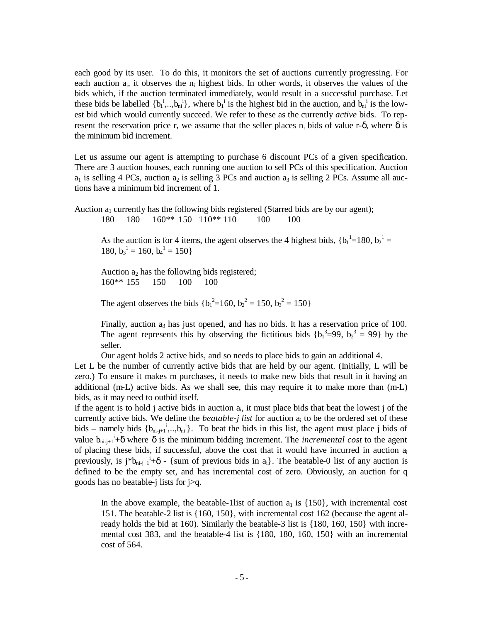each good by its user. To do this, it monitors the set of auctions currently progressing. For each auction a<sub>i</sub>, it observes the n<sub>i</sub> highest bids. In other words, it observes the values of the bids which, if the auction terminated immediately, would result in a successful purchase. Let these bids be labelled  $\{b_1^i, ..., b_{ni}^i\}$ , where  $b_1^i$  is the highest bid in the auction, and  $b_{ni}^i$  is the lowest bid which would currently succeed. We refer to these as the currently *active* bids. To represent the reservation price r, we assume that the seller places  $n_i$  bids of value r- $\delta$ , where  $\delta$  is the minimum bid increment.

Let us assume our agent is attempting to purchase 6 discount PCs of a given specification. There are 3 auction houses, each running one auction to sell PCs of this specification. Auction  $a_1$  is selling 4 PCs, auction  $a_2$  is selling 3 PCs and auction  $a_3$  is selling 2 PCs. Assume all auctions have a minimum bid increment of 1.

Auction  $a_1$  currently has the following bids registered (Starred bids are by our agent); 180 180 160\*\* 150 110\*\* 110 100 100

As the auction is for 4 items, the agent observes the 4 highest bids,  ${b_1}^1 = 180$ ,  ${b_2}^1 =$  $180, b_3^1 = 160, b_4^1 = 150$ 

Auction  $a_2$  has the following bids registered; 160\*\* 155 150 100 100

The agent observes the bids  ${b_1}^2 = 160$ ,  ${b_2}^2 = 150$ ,  ${b_3}^2 = 150$ }

Finally, auction  $a_3$  has just opened, and has no bids. It has a reservation price of 100. The agent represents this by observing the fictitious bids  ${b_1}^3 = 99$ ,  ${b_2}^3 = 99$  by the seller.

Our agent holds 2 active bids, and so needs to place bids to gain an additional 4.

Let L be the number of currently active bids that are held by our agent. (Initially, L will be zero.) To ensure it makes m purchases, it needs to make new bids that result in it having an additional (m-L) active bids. As we shall see, this may require it to make more than (m-L) bids, as it may need to outbid itself.

If the agent is to hold  $j$  active bids in auction  $a_i$ , it must place bids that beat the lowest  $j$  of the currently active bids. We define the *beatable-j list* for auction a<sup>i</sup> to be the ordered set of these bids – namely bids  $\{b_{ni-j+1},...,b_{ni}\}$ . To beat the bids in this list, the agent must place j bids of value  $b_{ni+1}$ <sup>*i*</sup>+ $\delta$  where  $\delta$  is the minimum bidding increment. The *incremental cost* to the agent of placing these bids, if successful, above the cost that it would have incurred in auction  $a_i$ previously, is  $j^*b_{ni-j+1}^i+\delta$  - {sum of previous bids in  $a_i$ }. The beatable-0 list of any auction is defined to be the empty set, and has incremental cost of zero. Obviously, an auction for q goods has no beatable-j lists for j>q.

In the above example, the beatable-1list of auction  $a_1$  is  $\{150\}$ , with incremental cost 151. The beatable-2 list is {160, 150}, with incremental cost 162 (because the agent already holds the bid at 160). Similarly the beatable-3 list is {180, 160, 150} with incremental cost 383, and the beatable-4 list is {180, 180, 160, 150} with an incremental cost of 564.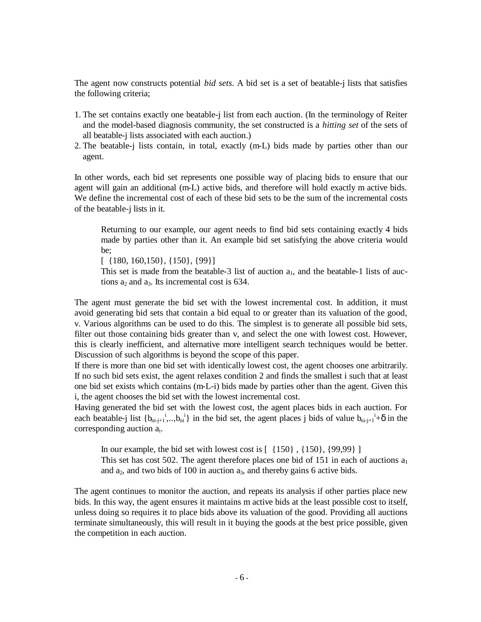The agent now constructs potential *bid sets*. A bid set is a set of beatable-j lists that satisfies the following criteria;

- 1. The set contains exactly one beatable-j list from each auction. (In the terminology of Reiter and the model-based diagnosis community, the set constructed is a *hitting set* of the sets of all beatable-j lists associated with each auction.)
- 2. The beatable-j lists contain, in total, exactly (m-L) bids made by parties other than our agent.

In other words, each bid set represents one possible way of placing bids to ensure that our agent will gain an additional (m-L) active bids, and therefore will hold exactly m active bids. We define the incremental cost of each of these bid sets to be the sum of the incremental costs of the beatable-j lists in it.

Returning to our example, our agent needs to find bid sets containing exactly 4 bids made by parties other than it. An example bid set satisfying the above criteria would be;

 $[$  {180, 160, 150}, {150}, {99}]

This set is made from the beatable-3 list of auction  $a_1$ , and the beatable-1 lists of auctions  $a_2$  and  $a_3$ . Its incremental cost is 634.

The agent must generate the bid set with the lowest incremental cost. In addition, it must avoid generating bid sets that contain a bid equal to or greater than its valuation of the good, v. Various algorithms can be used to do this. The simplest is to generate all possible bid sets, filter out those containing bids greater than v, and select the one with lowest cost. However, this is clearly inefficient, and alternative more intelligent search techniques would be better. Discussion of such algorithms is beyond the scope of this paper.

If there is more than one bid set with identically lowest cost, the agent chooses one arbitrarily. If no such bid sets exist, the agent relaxes condition 2 and finds the smallest i such that at least one bid set exists which contains (m-L-i) bids made by parties other than the agent. Given this i, the agent chooses the bid set with the lowest incremental cost.

Having generated the bid set with the lowest cost, the agent places bids in each auction. For each beatable-j list  $\{b_{ni-j+1},...,b_{ni}\}$  in the bid set, the agent places j bids of value  $b_{ni-j+1}$ <sup>1</sup>+ $\delta$  in the corresponding auction a<sub>i</sub>.

In our example, the bid set with lowest cost is  $[ {150}, {150}, {99,99}]$ 

This set has cost 502. The agent therefore places one bid of 151 in each of auctions  $a_1$ and  $a_2$ , and two bids of 100 in auction  $a_3$ , and thereby gains 6 active bids.

The agent continues to monitor the auction, and repeats its analysis if other parties place new bids. In this way, the agent ensures it maintains m active bids at the least possible cost to itself, unless doing so requires it to place bids above its valuation of the good. Providing all auctions terminate simultaneously, this will result in it buying the goods at the best price possible, given the competition in each auction.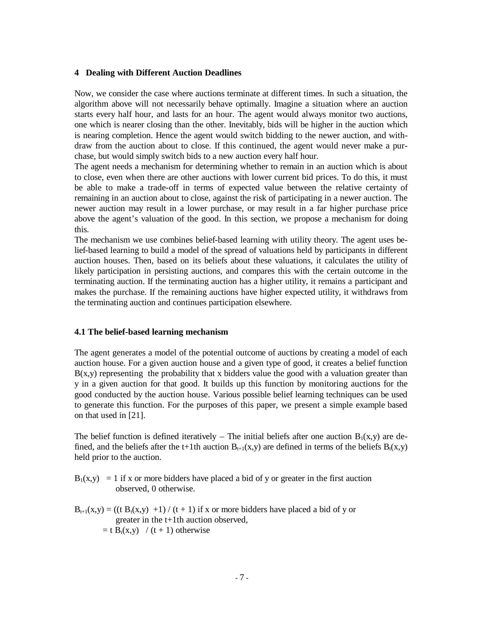#### **4 Dealing with Different Auction Deadlines**

Now, we consider the case where auctions terminate at different times. In such a situation, the algorithm above will not necessarily behave optimally. Imagine a situation where an auction starts every half hour, and lasts for an hour. The agent would always monitor two auctions, one which is nearer closing than the other. Inevitably, bids will be higher in the auction which is nearing completion. Hence the agent would switch bidding to the newer auction, and withdraw from the auction about to close. If this continued, the agent would never make a purchase, but would simply switch bids to a new auction every half hour.

The agent needs a mechanism for determining whether to remain in an auction which is about to close, even when there are other auctions with lower current bid prices. To do this, it must be able to make a trade-off in terms of expected value between the relative certainty of remaining in an auction about to close, against the risk of participating in a newer auction. The newer auction may result in a lower purchase, or may result in a far higher purchase price above the agent's valuation of the good. In this section, we propose a mechanism for doing this.

The mechanism we use combines belief-based learning with utility theory. The agent uses belief-based learning to build a model of the spread of valuations held by participants in different auction houses. Then, based on its beliefs about these valuations, it calculates the utility of likely participation in persisting auctions, and compares this with the certain outcome in the terminating auction. If the terminating auction has a higher utility, it remains a participant and makes the purchase. If the remaining auctions have higher expected utility, it withdraws from the terminating auction and continues participation elsewhere.

#### **4.1 The belief-based learning mechanism**

The agent generates a model of the potential outcome of auctions by creating a model of each auction house. For a given auction house and a given type of good, it creates a belief function  $B(x,y)$  representing the probability that x bidders value the good with a valuation greater than y in a given auction for that good. It builds up this function by monitoring auctions for the good conducted by the auction house. Various possible belief learning techniques can be used to generate this function. For the purposes of this paper, we present a simple example based on that used in [21].

The belief function is defined iteratively – The initial beliefs after one auction  $B_1(x,y)$  are defined, and the beliefs after the t+1th auction  $B_{t+1}(x,y)$  are defined in terms of the beliefs  $B_t(x,y)$ held prior to the auction.

 $B_1(x,y) = 1$  if x or more bidders have placed a bid of y or greater in the first auction observed, 0 otherwise.

 $B_{t+1}(x,y) = ((t B_t(x,y) +1) / (t+1)$  if x or more bidders have placed a bid of y or greater in the t+1th auction observed,  $=$  t B<sub>t</sub>(x,y) / (t + 1) otherwise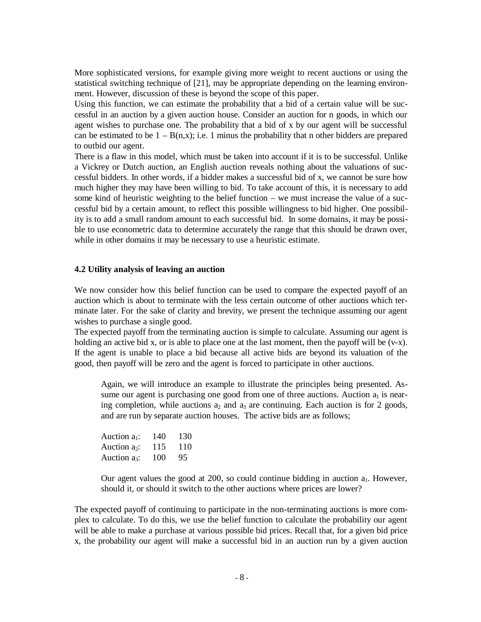More sophisticated versions, for example giving more weight to recent auctions or using the statistical switching technique of [21], may be appropriate depending on the learning environment. However, discussion of these is beyond the scope of this paper.

Using this function, we can estimate the probability that a bid of a certain value will be successful in an auction by a given auction house. Consider an auction for n goods, in which our agent wishes to purchase one. The probability that a bid of x by our agent will be successful can be estimated to be  $1 - B(n,x)$ ; i.e. 1 minus the probability that n other bidders are prepared to outbid our agent.

There is a flaw in this model, which must be taken into account if it is to be successful. Unlike a Vickrey or Dutch auction, an English auction reveals nothing about the valuations of successful bidders. In other words, if a bidder makes a successful bid of x, we cannot be sure how much higher they may have been willing to bid. To take account of this, it is necessary to add some kind of heuristic weighting to the belief function – we must increase the value of a successful bid by a certain amount, to reflect this possible willingness to bid higher. One possibility is to add a small random amount to each successful bid. In some domains, it may be possible to use econometric data to determine accurately the range that this should be drawn over, while in other domains it may be necessary to use a heuristic estimate.

#### **4.2 Utility analysis of leaving an auction**

We now consider how this belief function can be used to compare the expected payoff of an auction which is about to terminate with the less certain outcome of other auctions which terminate later. For the sake of clarity and brevity, we present the technique assuming our agent wishes to purchase a single good.

The expected payoff from the terminating auction is simple to calculate. Assuming our agent is holding an active bid x, or is able to place one at the last moment, then the payoff will be  $(v-x)$ . If the agent is unable to place a bid because all active bids are beyond its valuation of the good, then payoff will be zero and the agent is forced to participate in other auctions.

Again, we will introduce an example to illustrate the principles being presented. Assume our agent is purchasing one good from one of three auctions. Auction  $a_1$  is nearing completion, while auctions  $a_2$  and  $a_3$  are continuing. Each auction is for 2 goods, and are run by separate auction houses. The active bids are as follows;

| Auction $a_1$ :          | 140 | 130 |
|--------------------------|-----|-----|
| Auction a <sub>2</sub> : | 115 | 110 |
| Auction a <sub>3</sub> : | 100 | 95  |

Our agent values the good at 200, so could continue bidding in auction  $a_1$ . However, should it, or should it switch to the other auctions where prices are lower?

The expected payoff of continuing to participate in the non-terminating auctions is more complex to calculate. To do this, we use the belief function to calculate the probability our agent will be able to make a purchase at various possible bid prices. Recall that, for a given bid price x, the probability our agent will make a successful bid in an auction run by a given auction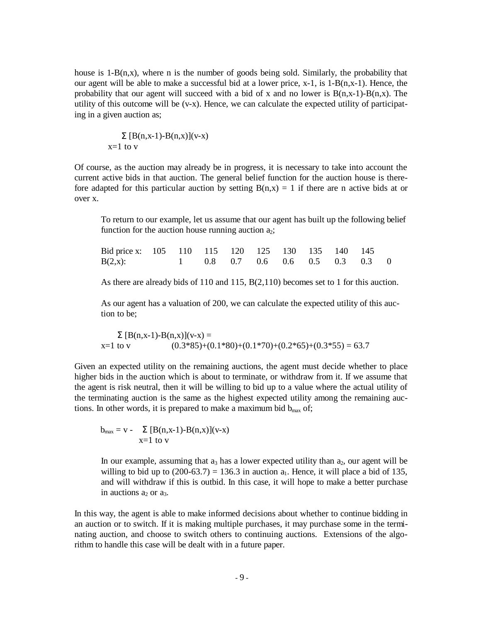house is 1-B(n,x), where n is the number of goods being sold. Similarly, the probability that our agent will be able to make a successful bid at a lower price,  $x-1$ , is  $1-B(n,x-1)$ . Hence, the probability that our agent will succeed with a bid of x and no lower is  $B(n,x-1)-B(n,x)$ . The utility of this outcome will be  $(v-x)$ . Hence, we can calculate the expected utility of participating in a given auction as;

$$
\sum_{x=1}^{\infty} [B(n,x-1)-B(n,x)](v-x)
$$

Of course, as the auction may already be in progress, it is necessary to take into account the current active bids in that auction. The general belief function for the auction house is therefore adapted for this particular auction by setting  $B(n,x) = 1$  if there are n active bids at or over x.

To return to our example, let us assume that our agent has built up the following belief function for the auction house running auction  $a_2$ ;

| Bid price x: 105 110 115 120 125 130 135 140 145 |  |  |                                 |  |  |
|--------------------------------------------------|--|--|---------------------------------|--|--|
| $B(2,x)$ :                                       |  |  | 1 0.8 0.7 0.6 0.6 0.5 0.3 0.3 0 |  |  |

As there are already bids of 110 and 115, B(2,110) becomes set to 1 for this auction.

As our agent has a valuation of 200, we can calculate the expected utility of this auction to be;

 $\Sigma$  [B(n,x-1)-B(n,x)](v-x) = x=1 to v  $(0.3*85)+(0.1*80)+(0.1*70)+(0.2*65)+(0.3*55) = 63.7$ 

Given an expected utility on the remaining auctions, the agent must decide whether to place higher bids in the auction which is about to terminate, or withdraw from it. If we assume that the agent is risk neutral, then it will be willing to bid up to a value where the actual utility of the terminating auction is the same as the highest expected utility among the remaining auctions. In other words, it is prepared to make a maximum bid  $b_{\text{max}}$  of;

$$
b_{max} = v - \sum [B(n, x-1) - B(n, x)](v-x)
$$
  
x=1 to v

In our example, assuming that  $a_3$  has a lower expected utility than  $a_2$ , our agent will be willing to bid up to  $(200-63.7) = 136.3$  in auction  $a_1$ . Hence, it will place a bid of 135, and will withdraw if this is outbid. In this case, it will hope to make a better purchase in auctions  $a_2$  or  $a_3$ .

In this way, the agent is able to make informed decisions about whether to continue bidding in an auction or to switch. If it is making multiple purchases, it may purchase some in the terminating auction, and choose to switch others to continuing auctions. Extensions of the algorithm to handle this case will be dealt with in a future paper.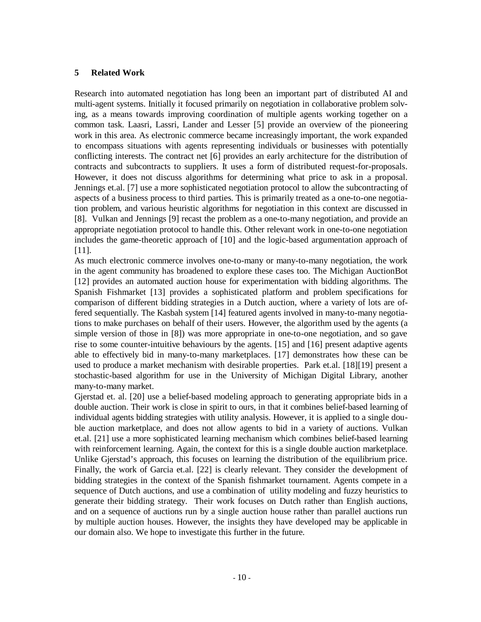## **5 Related Work**

Research into automated negotiation has long been an important part of distributed AI and multi-agent systems. Initially it focused primarily on negotiation in collaborative problem solving, as a means towards improving coordination of multiple agents working together on a common task. Laasri, Lassri, Lander and Lesser [5] provide an overview of the pioneering work in this area. As electronic commerce became increasingly important, the work expanded to encompass situations with agents representing individuals or businesses with potentially conflicting interests. The contract net [6] provides an early architecture for the distribution of contracts and subcontracts to suppliers. It uses a form of distributed request-for-proposals. However, it does not discuss algorithms for determining what price to ask in a proposal. Jennings et.al. [7] use a more sophisticated negotiation protocol to allow the subcontracting of aspects of a business process to third parties. This is primarily treated as a one-to-one negotiation problem, and various heuristic algorithms for negotiation in this context are discussed in [8]. Vulkan and Jennings [9] recast the problem as a one-to-many negotiation, and provide an appropriate negotiation protocol to handle this. Other relevant work in one-to-one negotiation includes the game-theoretic approach of [10] and the logic-based argumentation approach of [11].

As much electronic commerce involves one-to-many or many-to-many negotiation, the work in the agent community has broadened to explore these cases too. The Michigan AuctionBot [12] provides an automated auction house for experimentation with bidding algorithms. The Spanish Fishmarket [13] provides a sophisticated platform and problem specifications for comparison of different bidding strategies in a Dutch auction, where a variety of lots are offered sequentially. The Kasbah system [14] featured agents involved in many-to-many negotiations to make purchases on behalf of their users. However, the algorithm used by the agents (a simple version of those in [8]) was more appropriate in one-to-one negotiation, and so gave rise to some counter-intuitive behaviours by the agents. [15] and [16] present adaptive agents able to effectively bid in many-to-many marketplaces. [17] demonstrates how these can be used to produce a market mechanism with desirable properties. Park et.al. [18][19] present a stochastic-based algorithm for use in the University of Michigan Digital Library, another many-to-many market.

Gjerstad et. al. [20] use a belief-based modeling approach to generating appropriate bids in a double auction. Their work is close in spirit to ours, in that it combines belief-based learning of individual agents bidding strategies with utility analysis. However, it is applied to a single double auction marketplace, and does not allow agents to bid in a variety of auctions. Vulkan et.al. [21] use a more sophisticated learning mechanism which combines belief-based learning with reinforcement learning. Again, the context for this is a single double auction marketplace. Unlike Gjerstad's approach, this focuses on learning the distribution of the equilibrium price. Finally, the work of Garcia et.al. [22] is clearly relevant. They consider the development of bidding strategies in the context of the Spanish fishmarket tournament. Agents compete in a sequence of Dutch auctions, and use a combination of utility modeling and fuzzy heuristics to generate their bidding strategy. Their work focuses on Dutch rather than English auctions, and on a sequence of auctions run by a single auction house rather than parallel auctions run by multiple auction houses. However, the insights they have developed may be applicable in our domain also. We hope to investigate this further in the future.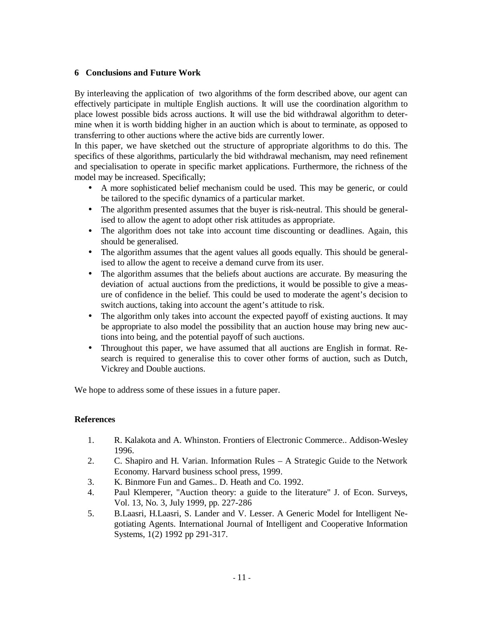## **6 Conclusions and Future Work**

By interleaving the application of two algorithms of the form described above, our agent can effectively participate in multiple English auctions. It will use the coordination algorithm to place lowest possible bids across auctions. It will use the bid withdrawal algorithm to determine when it is worth bidding higher in an auction which is about to terminate, as opposed to transferring to other auctions where the active bids are currently lower.

In this paper, we have sketched out the structure of appropriate algorithms to do this. The specifics of these algorithms, particularly the bid withdrawal mechanism, may need refinement and specialisation to operate in specific market applications. Furthermore, the richness of the model may be increased. Specifically;

- A more sophisticated belief mechanism could be used. This may be generic, or could be tailored to the specific dynamics of a particular market.
- The algorithm presented assumes that the buyer is risk-neutral. This should be generalised to allow the agent to adopt other risk attitudes as appropriate.
- The algorithm does not take into account time discounting or deadlines. Again, this should be generalised.
- The algorithm assumes that the agent values all goods equally. This should be generalised to allow the agent to receive a demand curve from its user.
- The algorithm assumes that the beliefs about auctions are accurate. By measuring the deviation of actual auctions from the predictions, it would be possible to give a measure of confidence in the belief. This could be used to moderate the agent's decision to switch auctions, taking into account the agent's attitude to risk.
- The algorithm only takes into account the expected payoff of existing auctions. It may be appropriate to also model the possibility that an auction house may bring new auctions into being, and the potential payoff of such auctions.
- Throughout this paper, we have assumed that all auctions are English in format. Research is required to generalise this to cover other forms of auction, such as Dutch, Vickrey and Double auctions.

We hope to address some of these issues in a future paper.

# **References**

- 1. R. Kalakota and A. Whinston. Frontiers of Electronic Commerce.. Addison-Wesley 1996.
- 2. C. Shapiro and H. Varian. Information Rules A Strategic Guide to the Network Economy. Harvard business school press, 1999.
- 3. K. Binmore Fun and Games.. D. Heath and Co. 1992.
- 4. Paul Klemperer, "Auction theory: a guide to the literature" J. of Econ. Surveys, Vol. 13, No. 3, July 1999, pp. 227-286
- 5. B.Laasri, H.Laasri, S. Lander and V. Lesser. A Generic Model for Intelligent Negotiating Agents. International Journal of Intelligent and Cooperative Information Systems, 1(2) 1992 pp 291-317.